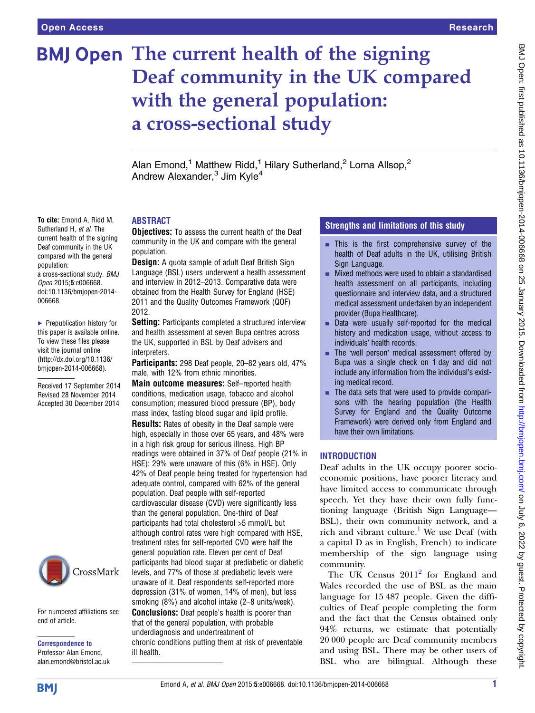# BMJ Open The current health of the signing Deaf community in the UK compared with the general population: a cross-sectional study

Alan Emond,<sup>1</sup> Matthew Ridd,<sup>1</sup> Hilary Sutherland,<sup>2</sup> Lorna Allsop,<sup>2</sup> Andrew Alexander,<sup>3</sup> Jim Kyle<sup>4</sup>

#### ABSTRACT

To cite: Emond A, Ridd M, Sutherland H, et al. The current health of the signing Deaf community in the UK compared with the general population: a cross-sectional study. BMJ Open 2015;5:e006668. doi:10.1136/bmjopen-2014- 006668

▶ Prepublication history for this paper is available online. To view these files please visit the journal online [\(http://dx.doi.org/10.1136/](http://dx.doi.org/10.1136/bmjopen-2014-006668) [bmjopen-2014-006668](http://dx.doi.org/10.1136/bmjopen-2014-006668)).

Received 17 September 2014 Revised 28 November 2014 Accepted 30 December 2014



For numbered affiliations see end of article.

Correspondence to Professor Alan Emond, alan.emond@bristol.ac.uk **Objectives:** To assess the current health of the Deaf community in the UK and compare with the general population.

**Design:** A quota sample of adult Deaf British Sign Language (BSL) users underwent a health assessment and interview in 2012–2013. Comparative data were obtained from the Health Survey for England (HSE) 2011 and the Quality Outcomes Framework (QOF) 2012.

**Setting:** Participants completed a structured interview and health assessment at seven Bupa centres across the UK, supported in BSL by Deaf advisers and interpreters.

Participants: 298 Deaf people, 20–82 years old, 47% male, with 12% from ethnic minorities.

Main outcome measures: Self–reported health conditions, medication usage, tobacco and alcohol consumption; measured blood pressure (BP), body mass index, fasting blood sugar and lipid profile.

**Results:** Rates of obesity in the Deaf sample were high, especially in those over 65 years, and 48% were in a high risk group for serious illness. High BP readings were obtained in 37% of Deaf people (21% in HSE): 29% were unaware of this (6% in HSE). Only 42% of Deaf people being treated for hypertension had adequate control, compared with 62% of the general population. Deaf people with self-reported cardiovascular disease (CVD) were significantly less than the general population. One-third of Deaf participants had total cholesterol >5 mmol/L but although control rates were high compared with HSE, treatment rates for self-reported CVD were half the general population rate. Eleven per cent of Deaf participants had blood sugar at prediabetic or diabetic levels, and 77% of those at prediabetic levels were unaware of it. Deaf respondents self-reported more depression (31% of women, 14% of men), but less smoking (8%) and alcohol intake (2–8 units/week). **Conclusions:** Deaf people's health is poorer than that of the general population, with probable underdiagnosis and undertreatment of chronic conditions putting them at risk of preventable ill health.

#### Strengths and limitations of this study

- $\blacksquare$  This is the first comprehensive survey of the health of Deaf adults in the UK, utilising British Sign Language.
- $\blacksquare$  Mixed methods were used to obtain a standardised health assessment on all participants, including questionnaire and interview data, and a structured medical assessment undertaken by an independent provider (Bupa Healthcare).
- Data were usually self-reported for the medical history and medication usage, without access to individuals' health records.
- **The 'well person' medical assessment offered by** Bupa was a single check on 1 day and did not include any information from the individual's existing medical record.
- $\blacksquare$  The data sets that were used to provide comparisons with the hearing population (the Health Survey for England and the Quality Outcome Framework) were derived only from England and have their own limitations.

## **INTRODUCTION**

Deaf adults in the UK occupy poorer socioeconomic positions, have poorer literacy and have limited access to communicate through speech. Yet they have their own fully functioning language (British Sign Language— BSL), their own community network, and a rich and vibrant culture.<sup>[1](#page-6-0)</sup> We use Deaf (with a capital D as in English, French) to indicate membership of the sign language using community.

The UK Census  $2011<sup>2</sup>$  $2011<sup>2</sup>$  for England and Wales recorded the use of BSL as the main language for 15 487 people. Given the difficulties of Deaf people completing the form and the fact that the Census obtained only 94% returns, we estimate that potentially 20 000 people are Deaf community members and using BSL. There may be other users of BSL who are bilingual. Although these

**BMJ**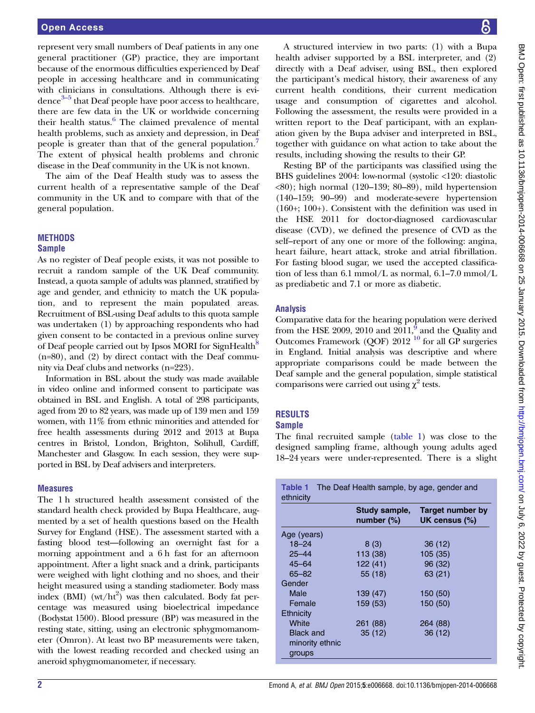represent very small numbers of Deaf patients in any one general practitioner (GP) practice, they are important because of the enormous difficulties experienced by Deaf people in accessing healthcare and in communicating with clinicians in consultations. Although there is evidence $3-5$  $3-5$  that Deaf people have poor access to healthcare, there are few data in the UK or worldwide concerning their health status.<sup>[6](#page-6-0)</sup> The claimed prevalence of mental health problems, such as anxiety and depression, in Deaf people is greater than that of the general population.<sup>[7](#page-6-0)</sup> The extent of physical health problems and chronic disease in the Deaf community in the UK is not known.

The aim of the Deaf Health study was to assess the current health of a representative sample of the Deaf community in the UK and to compare with that of the general population.

#### **METHODS** Sample

As no register of Deaf people exists, it was not possible to recruit a random sample of the UK Deaf community. Instead, a quota sample of adults was planned, stratified by age and gender, and ethnicity to match the UK population, and to represent the main populated areas. Recruitment of BSL-using Deaf adults to this quota sample was undertaken (1) by approaching respondents who had given consent to be contacted in a previous online survey of Deaf people carried out by Ipsos MORI for SignHealth<sup>[8](#page-6-0)</sup> (n=80), and (2) by direct contact with the Deaf community via Deaf clubs and networks (n=223).

Information in BSL about the study was made available in video online and informed consent to participate was obtained in BSL and English. A total of 298 participants, aged from 20 to 82 years, was made up of 139 men and 159 women, with 11% from ethnic minorities and attended for free health assessments during 2012 and 2013 at Bupa centres in Bristol, London, Brighton, Solihull, Cardiff, Manchester and Glasgow. In each session, they were supported in BSL by Deaf advisers and interpreters.

#### **Measures**

The 1 h structured health assessment consisted of the standard health check provided by Bupa Healthcare, augmented by a set of health questions based on the Health Survey for England (HSE). The assessment started with a fasting blood test—following an overnight fast for a morning appointment and a 6 h fast for an afternoon appointment. After a light snack and a drink, participants were weighed with light clothing and no shoes, and their height measured using a standing stadiometer. Body mass index (BMI) (wt/ht<sup>2</sup>) was then calculated. Body fat percentage was measured using bioelectrical impedance (Bodystat 1500). Blood pressure (BP) was measured in the resting state, sitting, using an electronic sphygmomanometer (Omron). At least two BP measurements were taken, with the lowest reading recorded and checked using an aneroid sphygmomanometer, if necessary.

A structured interview in two parts: (1) with a Bupa health adviser supported by a BSL interpreter, and (2) directly with a Deaf adviser, using BSL, then explored the participant's medical history, their awareness of any current health conditions, their current medication usage and consumption of cigarettes and alcohol. Following the assessment, the results were provided in a written report to the Deaf participant, with an explanation given by the Bupa adviser and interpreted in BSL, together with guidance on what action to take about the results, including showing the results to their GP.

Resting BP of the participants was classified using the BHS guidelines 2004: low-normal (systolic <120: diastolic  $\langle 80 \rangle$ ; high normal (120–139; 80–89), mild hypertension (140–159; 90–99) and moderate-severe hypertension (160+; 100+). Consistent with the definition was used in the HSE 2011 for doctor-diagnosed cardiovascular disease (CVD), we defined the presence of CVD as the self–report of any one or more of the following: angina, heart failure, heart attack, stroke and atrial fibrillation. For fasting blood sugar, we used the accepted classification of less than 6.1 mmol/L as normal, 6.1–7.0 mmol/L as prediabetic and 7.1 or more as diabetic.

#### Analysis

Comparative data for the hearing population were derived from the HSE 200[9](#page-6-0), 2010 and  $2011<sup>9</sup>$  and the Quality and Outcomes Framework (QOF)  $2012<sup>10</sup>$  $2012<sup>10</sup>$  $2012<sup>10</sup>$  for all GP surgeries in England. Initial analysis was descriptive and where appropriate comparisons could be made between the Deaf sample and the general population, simple statistical comparisons were carried out using  $\chi^2$  tests.

## RESULTS

#### Sample

The final recruited sample (table 1) was close to the designed sampling frame, although young adults aged 18–24 years were under-represented. There is a slight

|                  | Study sample, | Target number by |
|------------------|---------------|------------------|
|                  | number (%)    | UK census (%)    |
| Age (years)      |               |                  |
| $18 - 24$        | 8(3)          | 36(12)           |
| $25 - 44$        | 113 (38)      | 105 (35)         |
| $45 - 64$        | 122 (41)      | 96 (32)          |
| $65 - 82$        | 55 (18)       | 63 (21)          |
| Gender           |               |                  |
| Male             | 139 (47)      | 150 (50)         |
| Female           | 159 (53)      | 150 (50)         |
| Ethnicity        |               |                  |
| White            | 261 (88)      | 264 (88)         |
| <b>Black and</b> | 35(12)        | 36 (12)          |
| minority ethnic  |               |                  |
| groups           |               |                  |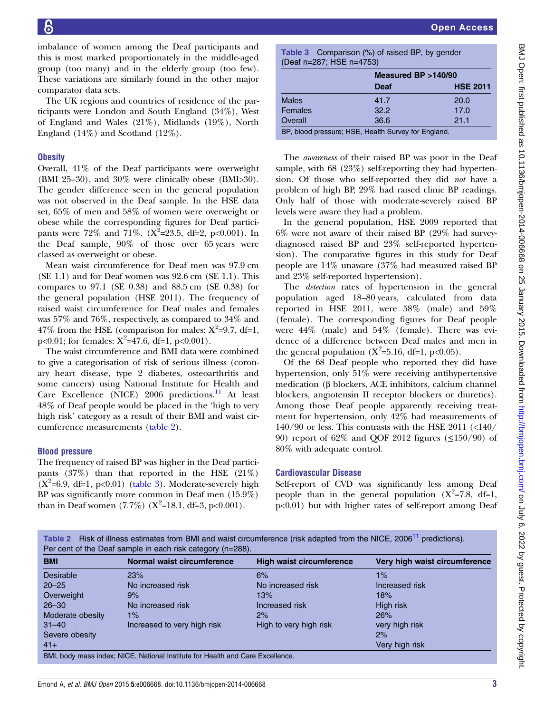imbalance of women among the Deaf participants and this is most marked proportionately in the middle-aged group (too many) and in the elderly group (too few). These variations are similarly found in the other major comparator data sets.

The UK regions and countries of residence of the participants were London and South England (34%), West of England and Wales (21%), Midlands (19%), North England  $(14\%)$  and Scotland  $(12\%)$ .

# **Obesity**

Overall, 41% of the Deaf participants were overweight (BMI 25–30), and 30% were clinically obese (BMI>30). The gender difference seen in the general population was not observed in the Deaf sample. In the HSE data set, 65% of men and 58% of women were overweight or obese while the corresponding figures for Deaf participants were 72% and 71%. ( $X^2 = 23.5$ , df=2, p<0.001). In the Deaf sample, 90% of those over 65 years were classed as overweight or obese.

Mean waist circumference for Deaf men was 97.9 cm (SE 1.1) and for Deaf women was 92.6 cm (SE 1.1). This compares to 97.1 (SE 0.38) and 88.5 cm (SE 0.38) for the general population (HSE 2011). The frequency of raised waist circumference for Deaf males and females was 57% and 76%, respectively, as compared to 34% and 47% from the HSE (comparison for males:  $X^2=9.7$ , df=1, p<0.01; for females:  $X^2 = 47.6$ , df=1, p<0.001).

The waist circumference and BMI data were combined to give a categorisation of risk of serious illness (coronary heart disease, type 2 diabetes, osteoarthritis and some cancers) using National Institute for Health and Care Excellence (NICE)  $2006$  predictions.<sup>[11](#page-6-0)</sup> At least 48% of Deaf people would be placed in the 'high to very high risk' category as a result of their BMI and waist circumference measurements (table 2).

## Blood pressure

The frequency of raised BP was higher in the Deaf participants (37%) than that reported in the HSE (21%)  $(X^2=6.9, df=1, p<0.01)$  (table 3). Moderate-severely high BP was significantly more common in Deaf men (15.9%) than in Deaf women  $(7.7\%)$   $(X^2=18.1, df=3, p<0.001)$ .

Table 3 Comparison (%) of raised BP, by gender (Deaf n=287; HSE n=4753)

|              | Measured $BP > 140/90$                              |                 |  |
|--------------|-----------------------------------------------------|-----------------|--|
|              | <b>Deaf</b>                                         | <b>HSE 2011</b> |  |
| <b>Males</b> | 41.7                                                | 20.0            |  |
| Females      | 32.2                                                | 17.0            |  |
| Overall      | 36.6                                                | 21.1            |  |
|              | BP, blood pressure; HSE, Health Survey for England. |                 |  |

The awareness of their raised BP was poor in the Deaf sample, with 68 (23%) self-reporting they had hypertension. Of those who self-reported they did not have a problem of high BP, 29% had raised clinic BP readings. Only half of those with moderate-severely raised BP levels were aware they had a problem.

In the general population, HSE 2009 reported that 6% were not aware of their raised BP (29% had surveydiagnosed raised BP and 23% self-reported hypertension). The comparative figures in this study for Deaf people are 14% unaware (37% had measured raised BP and 23% self-reported hypertension).

The *detection* rates of hypertension in the general population aged 18–80 years, calculated from data reported in HSE 2011, were 58% (male) and 59% ( female). The corresponding figures for Deaf people were 44% (male) and 54% (female). There was evidence of a difference between Deaf males and men in the general population  $(X^2=5.16, df=1, p<0.05)$ .

Of the 68 Deaf people who reported they did have hypertension, only 51% were receiving antihypertensive medication (β blockers, ACE inhibitors, calcium channel blockers, angiotensin II receptor blockers or diuretics). Among those Deaf people apparently receiving treatment for hypertension, only 42% had measurements of 140/90 or less. This contrasts with the HSE 2011 (<140/ 90) report of 62% and QOF 2012 figures (≤150/90) of 80% with adequate control.

#### Cardiovascular Disease

Self-report of CVD was significantly less among Deaf people than in the general population  $(X^2=7.8, df=1,$ p<0.01) but with higher rates of self-report among Deaf

| Table 2 Risk of illness estimates from BMI and waist circumference (risk adapted from the NICE, 2006 <sup>11</sup> predictions).<br>Per cent of the Deaf sample in each risk category (n=288). |                             |                                 |                               |
|------------------------------------------------------------------------------------------------------------------------------------------------------------------------------------------------|-----------------------------|---------------------------------|-------------------------------|
| <b>BMI</b>                                                                                                                                                                                     | Normal waist circumference  | <b>High waist circumference</b> | Very high waist circumference |
| <b>Desirable</b>                                                                                                                                                                               | 23%                         | 6%                              | $1\%$                         |
| $20 - 25$                                                                                                                                                                                      | No increased risk           | No increased risk               | Increased risk                |
| Overweight                                                                                                                                                                                     | 9%                          | 13%                             | 18%                           |
| $26 - 30$                                                                                                                                                                                      | No increased risk           | Increased risk                  | High risk                     |
| Moderate obesity                                                                                                                                                                               | $1\%$                       | 2%                              | 26%                           |
| $31 - 40$                                                                                                                                                                                      | Increased to very high risk | High to very high risk          | very high risk                |
| Severe obesity                                                                                                                                                                                 |                             |                                 | 2%                            |
| $41+$                                                                                                                                                                                          |                             |                                 | Very high risk                |

BMI, body mass index; NICE, National Institute for Health and Care Excellence.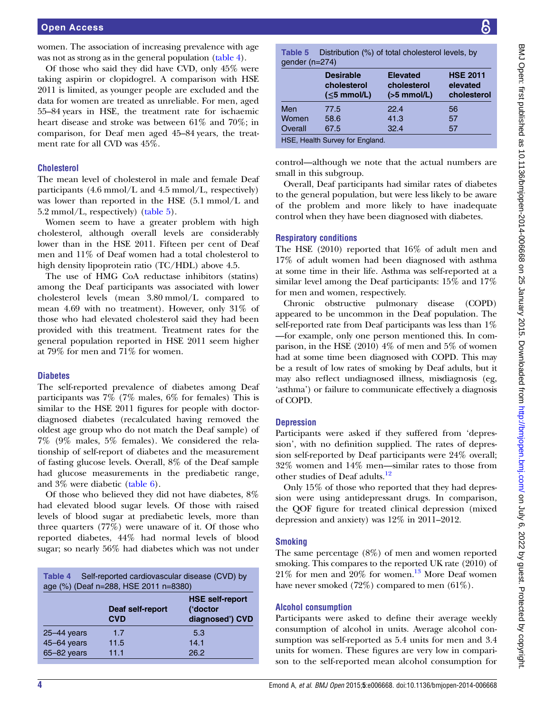women. The association of increasing prevalence with age was not as strong as in the general population (table 4).

Of those who said they did have CVD, only 45% were taking aspirin or clopidogrel. A comparison with HSE 2011 is limited, as younger people are excluded and the data for women are treated as unreliable. For men, aged 55–84 years in HSE, the treatment rate for ischaemic heart disease and stroke was between 61% and 70%; in comparison, for Deaf men aged 45–84 years, the treatment rate for all CVD was 45%.

#### **Cholesterol**

The mean level of cholesterol in male and female Deaf participants  $(4.6 \text{ mmol/L} \text{ and } 4.5 \text{ mmol/L} \text{, respectively})$ was lower than reported in the HSE (5.1 mmol/L and 5.2 mmol/L, respectively) (table 5).

Women seem to have a greater problem with high cholesterol, although overall levels are considerably lower than in the HSE 2011. Fifteen per cent of Deaf men and 11% of Deaf women had a total cholesterol to high density lipoprotein ratio (TC/HDL) above 4.5.

The use of HMG CoA reductase inhibitors (statins) among the Deaf participants was associated with lower cholesterol levels (mean 3.80 mmol/L compared to mean 4.69 with no treatment). However, only 31% of those who had elevated cholesterol said they had been provided with this treatment. Treatment rates for the general population reported in HSE 2011 seem higher at 79% for men and 71% for women.

#### **Diabetes**

The self-reported prevalence of diabetes among Deaf participants was 7% (7% males, 6% for females) This is similar to the HSE 2011 figures for people with doctordiagnosed diabetes (recalculated having removed the oldest age group who do not match the Deaf sample) of 7% (9% males, 5% females). We considered the relationship of self-report of diabetes and the measurement of fasting glucose levels. Overall, 8% of the Deaf sample had glucose measurements in the prediabetic range, and 3% were diabetic ([table 6](#page-4-0)).

Of those who believed they did not have diabetes, 8% had elevated blood sugar levels. Of those with raised levels of blood sugar at prediabetic levels, more than three quarters (77%) were unaware of it. Of those who reported diabetes, 44% had normal levels of blood sugar; so nearly 56% had diabetes which was not under

| Self-reported cardiovascular disease (CVD) by<br>Table 4<br>age (%) (Deaf n=288, HSE 2011 n=8380) |                                |                                                       |  |
|---------------------------------------------------------------------------------------------------|--------------------------------|-------------------------------------------------------|--|
|                                                                                                   | Deaf self-report<br><b>CVD</b> | <b>HSE self-report</b><br>('doctor<br>diagnosed') CVD |  |
| $25 - 44$ years                                                                                   | 17                             | 5.3                                                   |  |
| 45-64 years                                                                                       | 11.5                           | 14.1                                                  |  |
| 65-82 years                                                                                       | 11.1                           | 26.2                                                  |  |

Table 5 Distribution (%) of total cholesterol levels, by gender (n=274)

|         | <b>Desirable</b><br>cholesterol<br>( <b>5</b> mmol/L) | <b>Elevated</b><br>cholesterol<br>$(>5$ mmol/L) | <b>HSE 2011</b><br>elevated<br>cholesterol |
|---------|-------------------------------------------------------|-------------------------------------------------|--------------------------------------------|
| Men     | 77.5                                                  | 22.4                                            | 56                                         |
| Women   | 58.6                                                  | 41.3                                            | 57                                         |
| Overall | 67.5                                                  | 32.4                                            | 57                                         |
|         | HSE, Health Survey for England.                       |                                                 |                                            |

control—although we note that the actual numbers are small in this subgroup.

Overall, Deaf participants had similar rates of diabetes to the general population, but were less likely to be aware of the problem and more likely to have inadequate control when they have been diagnosed with diabetes.

#### Respiratory conditions

The HSE (2010) reported that 16% of adult men and 17% of adult women had been diagnosed with asthma at some time in their life. Asthma was self-reported at a similar level among the Deaf participants: 15% and 17% for men and women, respectively.

Chronic obstructive pulmonary disease (COPD) appeared to be uncommon in the Deaf population. The self-reported rate from Deaf participants was less than 1% —for example, only one person mentioned this. In comparison, in the HSE (2010) 4% of men and 5% of women had at some time been diagnosed with COPD. This may be a result of low rates of smoking by Deaf adults, but it may also reflect undiagnosed illness, misdiagnosis (eg, 'asthma') or failure to communicate effectively a diagnosis of COPD.

#### **Depression**

Participants were asked if they suffered from 'depression', with no definition supplied. The rates of depression self-reported by Deaf participants were 24% overall; 32% women and 14% men—similar rates to those from other studies of Deaf adults.<sup>[12](#page-6-0)</sup>

Only 15% of those who reported that they had depression were using antidepressant drugs. In comparison, the QOF figure for treated clinical depression (mixed depression and anxiety) was 12% in 2011–2012.

#### **Smoking**

The same percentage (8%) of men and women reported smoking. This compares to the reported UK rate (2010) of  $21\%$  for men and  $20\%$  for women.<sup>13</sup> More Deaf women have never smoked (72%) compared to men (61%).

#### Alcohol consumption

Participants were asked to define their average weekly consumption of alcohol in units. Average alcohol consumption was self-reported as 5.4 units for men and 3.4 units for women. These figures are very low in comparison to the self-reported mean alcohol consumption for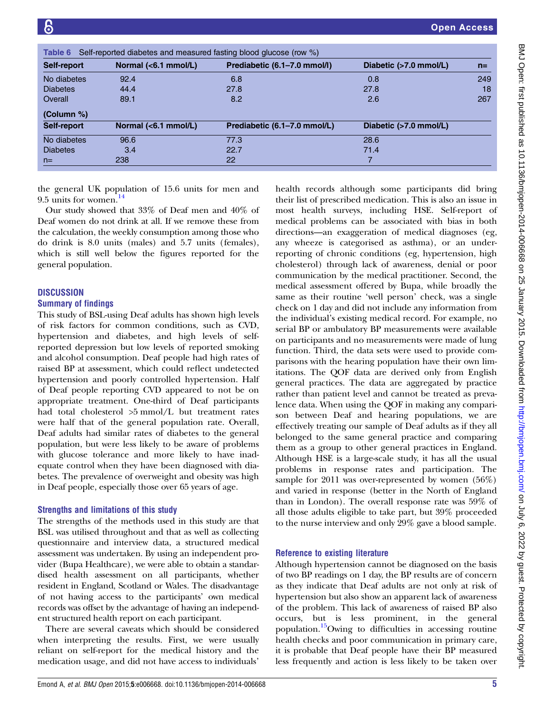<span id="page-4-0"></span>

| Table 6         | Self-reported diabetes and measured fasting blood glucose (row %) |                              |                        |      |
|-----------------|-------------------------------------------------------------------|------------------------------|------------------------|------|
| Self-report     | Normal (<6.1 mmol/L)                                              | Prediabetic (6.1–7.0 mmol/l) | Diabetic (>7.0 mmol/L) | $n=$ |
| No diabetes     | 92.4                                                              | 6.8                          | 0.8                    | 249  |
| <b>Diabetes</b> | 44.4                                                              | 27.8                         | 27.8                   | 18   |
| Overall         | 89.1                                                              | 8.2                          | 2.6                    | 267  |
| (Column %)      |                                                                   |                              |                        |      |
| Self-report     | Normal $(6.1 \text{ mmol/L})$                                     | Prediabetic (6.1-7.0 mmol/L) | Diabetic (>7.0 mmol/L) |      |
| No diabetes     | 96.6                                                              | 77.3                         | 28.6                   |      |
| <b>Diabetes</b> | 3.4                                                               | 22.7                         | 71.4                   |      |
| $n =$           | 238                                                               | 22                           |                        |      |

the general UK population of 15.6 units for men and 9.5 units for women. $14$ 

Our study showed that 33% of Deaf men and 40% of Deaf women do not drink at all. If we remove these from the calculation, the weekly consumption among those who do drink is 8.0 units (males) and 5.7 units (females), which is still well below the figures reported for the general population.

## **DISCUSSION**

#### Summary of findings

This study of BSL-using Deaf adults has shown high levels of risk factors for common conditions, such as CVD, hypertension and diabetes, and high levels of selfreported depression but low levels of reported smoking and alcohol consumption. Deaf people had high rates of raised BP at assessment, which could reflect undetected hypertension and poorly controlled hypertension. Half of Deaf people reporting CVD appeared to not be on appropriate treatment. One-third of Deaf participants had total cholesterol >5 mmol/L but treatment rates were half that of the general population rate. Overall, Deaf adults had similar rates of diabetes to the general population, but were less likely to be aware of problems with glucose tolerance and more likely to have inadequate control when they have been diagnosed with diabetes. The prevalence of overweight and obesity was high in Deaf people, especially those over 65 years of age.

#### Strengths and limitations of this study

The strengths of the methods used in this study are that BSL was utilised throughout and that as well as collecting questionnaire and interview data, a structured medical assessment was undertaken. By using an independent provider (Bupa Healthcare), we were able to obtain a standardised health assessment on all participants, whether resident in England, Scotland or Wales. The disadvantage of not having access to the participants' own medical records was offset by the advantage of having an independent structured health report on each participant.

There are several caveats which should be considered when interpreting the results. First, we were usually reliant on self-report for the medical history and the medication usage, and did not have access to individuals'

health records although some participants did bring their list of prescribed medication. This is also an issue in most health surveys, including HSE. Self-report of medical problems can be associated with bias in both directions—an exaggeration of medical diagnoses (eg, any wheeze is categorised as asthma), or an underreporting of chronic conditions (eg, hypertension, high cholesterol) through lack of awareness, denial or poor communication by the medical practitioner. Second, the medical assessment offered by Bupa, while broadly the same as their routine 'well person' check, was a single check on 1 day and did not include any information from the individual's existing medical record. For example, no serial BP or ambulatory BP measurements were available on participants and no measurements were made of lung function. Third, the data sets were used to provide comparisons with the hearing population have their own limitations. The QOF data are derived only from English general practices. The data are aggregated by practice rather than patient level and cannot be treated as prevalence data. When using the QOF in making any comparison between Deaf and hearing populations, we are effectively treating our sample of Deaf adults as if they all belonged to the same general practice and comparing them as a group to other general practices in England. Although HSE is a large-scale study, it has all the usual problems in response rates and participation. The sample for 2011 was over-represented by women (56%) and varied in response (better in the North of England than in London). The overall response rate was 59% of all those adults eligible to take part, but 39% proceeded to the nurse interview and only 29% gave a blood sample.

#### Reference to existing literature

Although hypertension cannot be diagnosed on the basis of two BP readings on 1 day, the BP results are of concern as they indicate that Deaf adults are not only at risk of hypertension but also show an apparent lack of awareness of the problem. This lack of awareness of raised BP also occurs, but is less prominent, in the general population.[15](#page-6-0)Owing to difficulties in accessing routine health checks and poor communication in primary care, it is probable that Deaf people have their BP measured less frequently and action is less likely to be taken over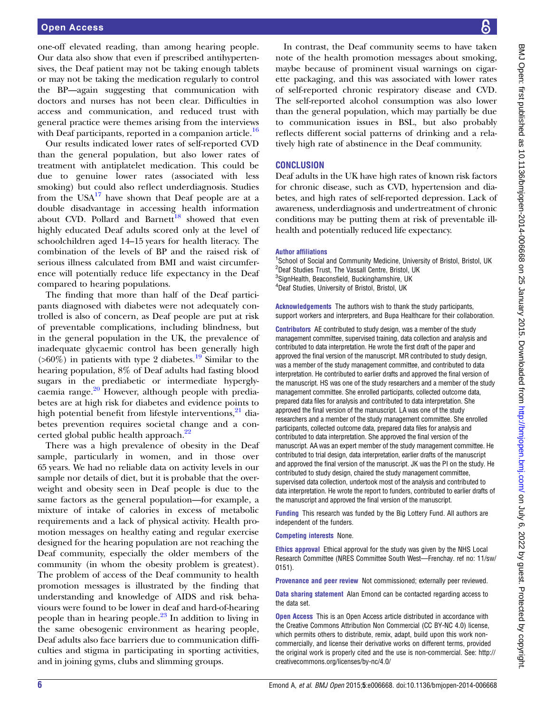one-off elevated reading, than among hearing people. Our data also show that even if prescribed antihypertensives, the Deaf patient may not be taking enough tablets or may not be taking the medication regularly to control the BP—again suggesting that communication with doctors and nurses has not been clear. Difficulties in access and communication, and reduced trust with general practice were themes arising from the interviews with Deaf participants, reported in a companion article.<sup>[16](#page-6-0)</sup>

Our results indicated lower rates of self-reported CVD than the general population, but also lower rates of treatment with antiplatelet medication. This could be due to genuine lower rates (associated with less smoking) but could also reflect underdiagnosis. Studies from the  $USA^{17}$  $USA^{17}$  $USA^{17}$  have shown that Deaf people are at a double disadvantage in accessing health information about CVD. Pollard and Barnett<sup>[18](#page-6-0)</sup> showed that even highly educated Deaf adults scored only at the level of schoolchildren aged 14–15 years for health literacy. The combination of the levels of BP and the raised risk of serious illness calculated from BMI and waist circumference will potentially reduce life expectancy in the Deaf compared to hearing populations.

The finding that more than half of the Deaf participants diagnosed with diabetes were not adequately controlled is also of concern, as Deaf people are put at risk of preventable complications, including blindness, but in the general population in the UK, the prevalence of inadequate glycaemic control has been generally high  $($ >60%) in patients with type 2 diabetes.<sup>[19](#page-6-0)</sup> Similar to the hearing population, 8% of Deaf adults had fasting blood sugars in the prediabetic or intermediate hyperglycaemia range.[20](#page-6-0) However, although people with prediabetes are at high risk for diabetes and evidence points to high potential benefit from lifestyle interventions, $^{21}$  $^{21}$  $^{21}$  diabetes prevention requires societal change and a concerted global public health approach. $^{22}$ 

There was a high prevalence of obesity in the Deaf sample, particularly in women, and in those over 65 years. We had no reliable data on activity levels in our sample nor details of diet, but it is probable that the overweight and obesity seen in Deaf people is due to the same factors as the general population—for example, a mixture of intake of calories in excess of metabolic requirements and a lack of physical activity. Health promotion messages on healthy eating and regular exercise designed for the hearing population are not reaching the Deaf community, especially the older members of the community (in whom the obesity problem is greatest). The problem of access of the Deaf community to health promotion messages is illustrated by the finding that understanding and knowledge of AIDS and risk behaviours were found to be lower in deaf and hard-of-hearing people than in hearing people. $^{23}$  $^{23}$  $^{23}$  In addition to living in the same obesogenic environment as hearing people, Deaf adults also face barriers due to communication difficulties and stigma in participating in sporting activities, and in joining gyms, clubs and slimming groups.

In contrast, the Deaf community seems to have taken note of the health promotion messages about smoking, maybe because of prominent visual warnings on cigarette packaging, and this was associated with lower rates of self-reported chronic respiratory disease and CVD. The self-reported alcohol consumption was also lower than the general population, which may partially be due to communication issues in BSL, but also probably reflects different social patterns of drinking and a relatively high rate of abstinence in the Deaf community.

#### **CONCLUSION**

Deaf adults in the UK have high rates of known risk factors for chronic disease, such as CVD, hypertension and diabetes, and high rates of self-reported depression. Lack of awareness, underdiagnosis and undertreatment of chronic conditions may be putting them at risk of preventable illhealth and potentially reduced life expectancy.

#### Author affiliations

<sup>1</sup>School of Social and Community Medicine, University of Bristol, Bristol, UK <sup>2</sup>Deaf Studies Trust, The Vassall Centre, Bristol, UK 3 SignHealth, Beaconsfield, Buckinghamshire, UK 4 Deaf Studies, University of Bristol, Bristol, UK

Acknowledgements The authors wish to thank the study participants, support workers and interpreters, and Bupa Healthcare for their collaboration.

Contributors AE contributed to study design, was a member of the study management committee, supervised training, data collection and analysis and contributed to data interpretation. He wrote the first draft of the paper and approved the final version of the manuscript. MR contributed to study design, was a member of the study management committee, and contributed to data interpretation. He contributed to earlier drafts and approved the final version of the manuscript. HS was one of the study researchers and a member of the study management committee. She enrolled participants, collected outcome data, prepared data files for analysis and contributed to data interpretation. She approved the final version of the manuscript. LA was one of the study researchers and a member of the study management committee. She enrolled participants, collected outcome data, prepared data files for analysis and contributed to data interpretation. She approved the final version of the manuscript. AA was an expert member of the study management committee. He contributed to trial design, data interpretation, earlier drafts of the manuscript and approved the final version of the manuscript. JK was the PI on the study. He contributed to study design, chaired the study management committee, supervised data collection, undertook most of the analysis and contributed to data interpretation. He wrote the report to funders, contributed to earlier drafts of the manuscript and approved the final version of the manuscript.

Funding This research was funded by the Big Lottery Fund. All authors are independent of the funders.

#### Competing interests None.

Ethics approval Ethical approval for the study was given by the NHS Local Research Committee (NRES Committee South West—Frenchay. ref no: 11/sw/ 0151).

Provenance and peer review Not commissioned; externally peer reviewed.

Data sharing statement Alan Emond can be contacted regarding access to the data set.

Open Access This is an Open Access article distributed in accordance with the Creative Commons Attribution Non Commercial (CC BY-NC 4.0) license, which permits others to distribute, remix, adapt, build upon this work noncommercially, and license their derivative works on different terms, provided the original work is properly cited and the use is non-commercial. See: [http://](http://creativecommons.org/licenses/by-nc/4.0/) [creativecommons.org/licenses/by-nc/4.0/](http://creativecommons.org/licenses/by-nc/4.0/)